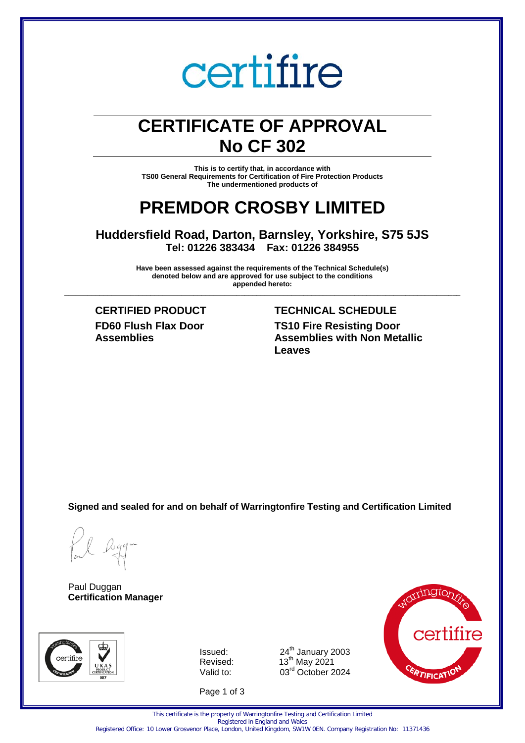# certifire

# **CERTIFICATE OF APPROVAL No CF 302**

**This is to certify that, in accordance with TS00 General Requirements for Certification of Fire Protection Products The undermentioned products of** 

# **PREMDOR CROSBY LIMITED**

**Huddersfield Road, Darton, Barnsley, Yorkshire, S75 5JS Tel: 01226 383434 Fax: 01226 384955** 

**Have been assessed against the requirements of the Technical Schedule(s) denoted below and are approved for use subject to the conditions appended hereto: \_\_\_\_\_\_\_\_\_\_\_\_\_\_\_\_\_\_\_\_\_\_\_\_\_\_\_\_\_\_\_\_\_\_\_\_\_\_\_\_\_\_\_\_\_\_\_\_\_\_\_\_\_\_\_\_\_\_\_\_\_\_\_\_\_\_\_\_\_\_\_\_\_\_\_\_\_\_\_\_\_\_\_\_\_\_\_\_\_\_\_\_\_\_\_\_\_\_\_\_\_**

**FD60 Flush Flax Door Assemblies**

# **CERTIFIED PRODUCT TECHNICAL SCHEDULE TS10 Fire Resisting Door Assemblies with Non Metallic Leaves**

**Signed and sealed for and on behalf of Warringtonfire Testing and Certification Limited**

Paul Duggan **Certification Manager**



Issued:  $24<sup>th</sup>$  January 2003 Revised: Valid to: 03<sup>rd</sup> October 2024

Page 1 of 3



This certificate is the property of Warringtonfire Testing and Certification Limited Registered in England and Wales

 $\mathrm{^{th}}$  May 2021

Registered Office: 10 Lower Grosvenor Place, London, United Kingdom, SW1W 0EN. Company Registration No: 11371436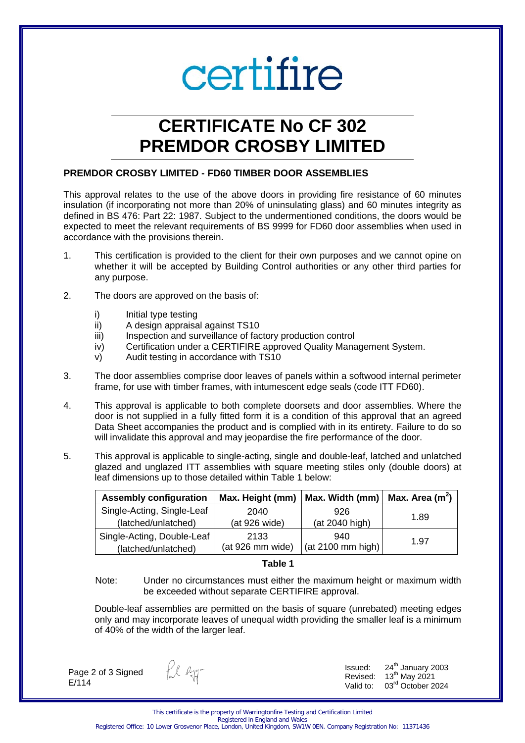# certifire

# **CERTIFICATE No CF 302 PREMDOR CROSBY LIMITED**

# **PREMDOR CROSBY LIMITED - FD60 TIMBER DOOR ASSEMBLIES**

This approval relates to the use of the above doors in providing fire resistance of 60 minutes insulation (if incorporating not more than 20% of uninsulating glass) and 60 minutes integrity as defined in BS 476: Part 22: 1987. Subject to the undermentioned conditions, the doors would be expected to meet the relevant requirements of BS 9999 for FD60 door assemblies when used in accordance with the provisions therein.

- 1. This certification is provided to the client for their own purposes and we cannot opine on whether it will be accepted by Building Control authorities or any other third parties for any purpose.
- 2. The doors are approved on the basis of:
	- i) Initial type testing
	- ii) A design appraisal against TS10
	- iii) Inspection and surveillance of factory production control
	- iv) Certification under a CERTIFIRE approved Quality Management System.
	- v) Audit testing in accordance with TS10
- 3. The door assemblies comprise door leaves of panels within a softwood internal perimeter frame, for use with timber frames, with intumescent edge seals (code ITT FD60).
- 4. This approval is applicable to both complete doorsets and door assemblies. Where the door is not supplied in a fully fitted form it is a condition of this approval that an agreed Data Sheet accompanies the product and is complied with in its entirety. Failure to do so will invalidate this approval and may jeopardise the fire performance of the door.
- 5. This approval is applicable to single-acting, single and double-leaf, latched and unlatched glazed and unglazed ITT assemblies with square meeting stiles only (double doors) at leaf dimensions up to those detailed within Table 1 below:

| <b>Assembly configuration</b> | Max. Height (mm) | Max. Width (mm)                   | Max. Area $(m^2)$ |
|-------------------------------|------------------|-----------------------------------|-------------------|
| Single-Acting, Single-Leaf    | 2040             | 926                               | 1.89              |
| (latched/unlatched)           | (at 926 wide)    | (at 2040 high)                    |                   |
| Single-Acting, Double-Leaf    | 2133             | 940                               | 1.97              |
| (latched/unlatched)           | (at 926 mm wide) | $\vert$ (at 2100 mm high) $\vert$ |                   |

#### **Table 1**

 Note: Under no circumstances must either the maximum height or maximum width be exceeded without separate CERTIFIRE approval.

Double-leaf assemblies are permitted on the basis of square (unrebated) meeting edges only and may incorporate leaves of unequal width providing the smaller leaf is a minimum of 40% of the width of the larger leaf.

Page 2 of 3 Signed E/114

fl ag-

Issued:  $24<sup>th</sup>$  January 2003 Revised:  $13<sup>th</sup>$  May 2021 Valid to: 03rd October 2024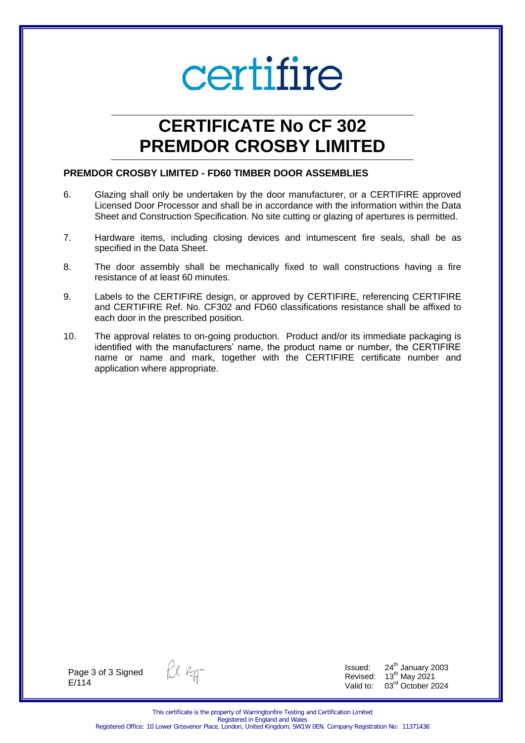# certifire

# **CERTIFICATE No CF 302 PREMDOR CROSBY LIMITED**

# **PREMDOR CROSBY LIMITED - FD60 TIMBER DOOR ASSEMBLIES**

- 6. Glazing shall only be undertaken by the door manufacturer, or a CERTIFIRE approved Licensed Door Processor and shall be in accordance with the information within the Data Sheet and Construction Specification. No site cutting or glazing of apertures is permitted.
- 7. Hardware items, including closing devices and intumescent fire seals, shall be as specified in the Data Sheet.
- 8. The door assembly shall be mechanically fixed to wall constructions having a fire resistance of at least 60 minutes.
- 9. Labels to the CERTIFIRE design, or approved by CERTIFIRE, referencing CERTIFIRE and CERTIFIRE Ref. No. CF302 and FD60 classifications resistance shall be affixed to each door in the prescribed position.
- 10. The approval relates to on-going production. Product and/or its immediate packaging is identified with the manufacturers' name, the product name or number, the CERTIFIRE name or name and mark, together with the CERTIFIRE certificate number and application where appropriate.

Page 3 of 3 Signed E/114

fil Ryg-

Issued:  $24<sup>th</sup>$  January 2003 Revised:  $13<sup>th</sup>$  May 2021 Valid to: 03<sup>rd</sup> October 2024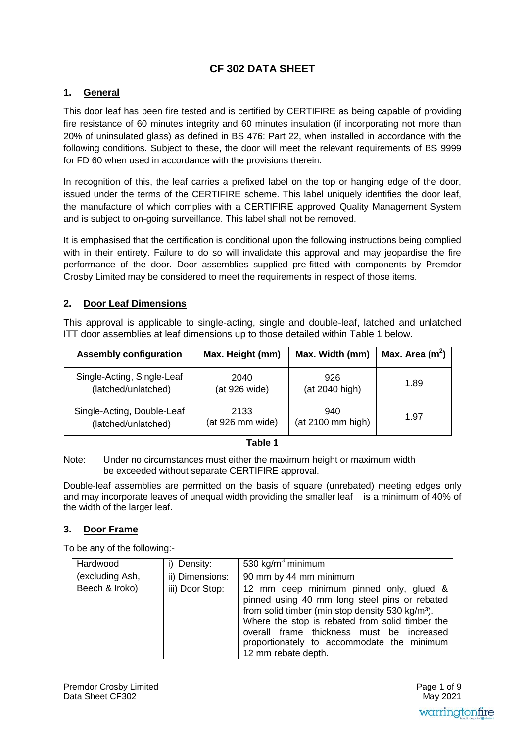# **CF 302 DATA SHEET**

# **1. General**

This door leaf has been fire tested and is certified by CERTIFIRE as being capable of providing fire resistance of 60 minutes integrity and 60 minutes insulation (if incorporating not more than 20% of uninsulated glass) as defined in BS 476: Part 22, when installed in accordance with the following conditions. Subject to these, the door will meet the relevant requirements of BS 9999 for FD 60 when used in accordance with the provisions therein.

In recognition of this, the leaf carries a prefixed label on the top or hanging edge of the door, issued under the terms of the CERTIFIRE scheme. This label uniquely identifies the door leaf, the manufacture of which complies with a CERTIFIRE approved Quality Management System and is subject to on-going surveillance. This label shall not be removed.

It is emphasised that the certification is conditional upon the following instructions being complied with in their entirety. Failure to do so will invalidate this approval and may jeopardise the fire performance of the door. Door assemblies supplied pre-fitted with components by Premdor Crosby Limited may be considered to meet the requirements in respect of those items.

# **2. Door Leaf Dimensions**

This approval is applicable to single-acting, single and double-leaf, latched and unlatched ITT door assemblies at leaf dimensions up to those detailed within Table 1 below.

| <b>Assembly configuration</b> | Max. Height (mm) | Max. Width (mm)   | Max. Area $(m2)$ |
|-------------------------------|------------------|-------------------|------------------|
| Single-Acting, Single-Leaf    | 2040             | 926               | 1.89             |
| (latched/unlatched)           | (at 926 wide)    | (at 2040 high)    |                  |
| Single-Acting, Double-Leaf    | 2133             | 940               | 1.97             |
| (latched/unlatched)           | (at 926 mm wide) | (at 2100 mm high) |                  |

#### **Table 1**

Note: Under no circumstances must either the maximum height or maximum width be exceeded without separate CERTIFIRE approval.

Double-leaf assemblies are permitted on the basis of square (unrebated) meeting edges only and may incorporate leaves of unequal width providing the smaller leaf is a minimum of 40% of the width of the larger leaf.

# **3. Door Frame**

To be any of the following:-

| Hardwood        | i) Density:     | 530 kg/m <sup>3</sup> minimum                                                                                                                                                                                                                                                                                                 |
|-----------------|-----------------|-------------------------------------------------------------------------------------------------------------------------------------------------------------------------------------------------------------------------------------------------------------------------------------------------------------------------------|
| (excluding Ash, | ii) Dimensions: | 90 mm by 44 mm minimum                                                                                                                                                                                                                                                                                                        |
| Beech & Iroko)  | iii) Door Stop: | 12 mm deep minimum pinned only, glued &<br>pinned using 40 mm long steel pins or rebated<br>from solid timber (min stop density 530 kg/m <sup>3</sup> ).<br>Where the stop is rebated from solid timber the<br>overall frame thickness must be increased<br>proportionately to accommodate the minimum<br>12 mm rebate depth. |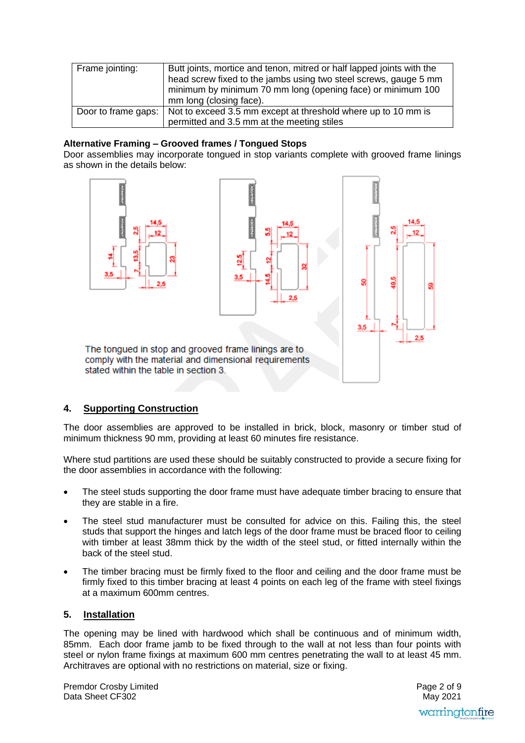| Frame jointing: | Butt joints, mortice and tenon, mitred or half lapped joints with the<br>head screw fixed to the jambs using two steel screws, gauge 5 mm<br>minimum by minimum 70 mm long (opening face) or minimum 100<br>mm long (closing face). |
|-----------------|-------------------------------------------------------------------------------------------------------------------------------------------------------------------------------------------------------------------------------------|
|                 | Door to frame gaps:   Not to exceed 3.5 mm except at threshold where up to 10 mm is<br>permitted and 3.5 mm at the meeting stiles                                                                                                   |

### **Alternative Framing – Grooved frames / Tongued Stops**

Door assemblies may incorporate tongued in stop variants complete with grooved frame linings as shown in the details below:



stated within the table in section 3.

# **4. Supporting Construction**

The door assemblies are approved to be installed in brick, block, masonry or timber stud of minimum thickness 90 mm, providing at least 60 minutes fire resistance.

Where stud partitions are used these should be suitably constructed to provide a secure fixing for the door assemblies in accordance with the following:

- The steel studs supporting the door frame must have adequate timber bracing to ensure that they are stable in a fire.
- The steel stud manufacturer must be consulted for advice on this. Failing this, the steel studs that support the hinges and latch legs of the door frame must be braced floor to ceiling with timber at least 38mm thick by the width of the steel stud, or fitted internally within the back of the steel stud.
- The timber bracing must be firmly fixed to the floor and ceiling and the door frame must be firmly fixed to this timber bracing at least 4 points on each leg of the frame with steel fixings at a maximum 600mm centres.

# **5. Installation**

The opening may be lined with hardwood which shall be continuous and of minimum width, 85mm. Each door frame jamb to be fixed through to the wall at not less than four points with steel or nylon frame fixings at maximum 600 mm centres penetrating the wall to at least 45 mm. Architraves are optional with no restrictions on material, size or fixing.

Premdor Crosby Limited Data Sheet CF302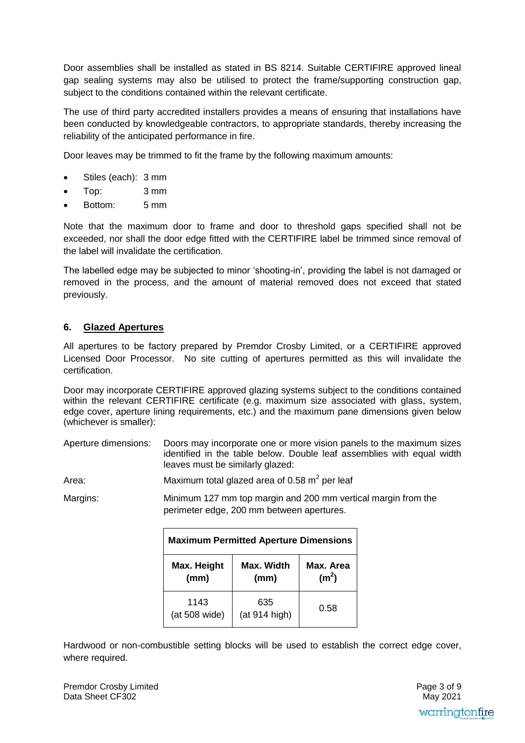Door assemblies shall be installed as stated in BS 8214. Suitable CERTIFIRE approved lineal gap sealing systems may also be utilised to protect the frame/supporting construction gap, subject to the conditions contained within the relevant certificate.

The use of third party accredited installers provides a means of ensuring that installations have been conducted by knowledgeable contractors, to appropriate standards, thereby increasing the reliability of the anticipated performance in fire.

Door leaves may be trimmed to fit the frame by the following maximum amounts:

- Stiles (each): 3 mm
- Top: 3 mm
- Bottom: 5 mm

Note that the maximum door to frame and door to threshold gaps specified shall not be exceeded, nor shall the door edge fitted with the CERTIFIRE label be trimmed since removal of the label will invalidate the certification.

The labelled edge may be subjected to minor 'shooting-in', providing the label is not damaged or removed in the process, and the amount of material removed does not exceed that stated previously.

# **6. Glazed Apertures**

All apertures to be factory prepared by Premdor Crosby Limited, or a CERTIFIRE approved Licensed Door Processor. No site cutting of apertures permitted as this will invalidate the certification.

Door may incorporate CERTIFIRE approved glazing systems subject to the conditions contained within the relevant CERTIFIRE certificate (e.g. maximum size associated with glass, system, edge cover, aperture lining requirements, etc.) and the maximum pane dimensions given below (whichever is smaller):

Aperture dimensions: Doors may incorporate one or more vision panels to the maximum sizes identified in the table below. Double leaf assemblies with equal width leaves must be similarly glazed:

Area: Maximum total glazed area of 0.58 m<sup>2</sup> per leaf

Margins: Minimum 127 mm top margin and 200 mm vertical margin from the perimeter edge, 200 mm between apertures.

| <b>Maximum Permitted Aperture Dimensions</b>                   |                      |           |
|----------------------------------------------------------------|----------------------|-----------|
| Max. Height<br>Max. Width<br>(m <sup>2</sup> )<br>(mm)<br>(mm) |                      | Max. Area |
| 1143<br>(at 508 wide)                                          | 635<br>(at 914 high) | 0.58      |

Hardwood or non-combustible setting blocks will be used to establish the correct edge cover, where required.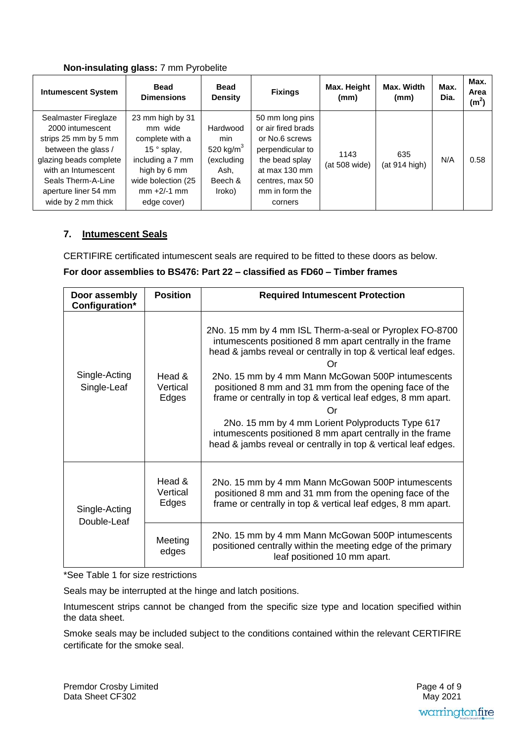# **Non-insulating glass:** 7 mm Pyrobelite

| <b>Intumescent System</b>                                                                                                                                                                                    | <b>Bead</b><br><b>Dimensions</b>                                                                                                                                 | <b>Bead</b><br><b>Density</b>                                              | <b>Fixings</b>                                                                                                                                                 | Max. Height<br>(mm)   | Max. Width<br>(mm)   | Max.<br>Dia. | Max.<br>Area<br>(m <sup>2</sup> ) |
|--------------------------------------------------------------------------------------------------------------------------------------------------------------------------------------------------------------|------------------------------------------------------------------------------------------------------------------------------------------------------------------|----------------------------------------------------------------------------|----------------------------------------------------------------------------------------------------------------------------------------------------------------|-----------------------|----------------------|--------------|-----------------------------------|
| Sealmaster Fireglaze<br>2000 intumescent<br>strips 25 mm by 5 mm<br>between the glass /<br>glazing beads complete<br>with an Intumescent<br>Seals Therm-A-Line<br>aperture liner 54 mm<br>wide by 2 mm thick | 23 mm high by 31<br>mm wide<br>complete with a<br>15 $\degree$ splay,<br>including a 7 mm<br>high by 6 mm<br>wide bolection (25<br>$mm + 2/-1 mm$<br>edge cover) | Hardwood<br>min<br>520 kg/ $m3$<br>(excluding<br>Ash,<br>Beech &<br>Iroko) | 50 mm long pins<br>or air fired brads<br>or No.6 screws<br>perpendicular to<br>the bead splay<br>at max 130 mm<br>centres, max 50<br>mm in form the<br>corners | 1143<br>(at 508 wide) | 635<br>(at 914 high) | N/A          | 0.58                              |

# **7. Intumescent Seals**

CERTIFIRE certificated intumescent seals are required to be fitted to these doors as below.

# **For door assemblies to BS476: Part 22 – classified as FD60 – Timber frames**

| Door assembly<br>Configuration* | <b>Position</b>             | <b>Required Intumescent Protection</b>                                                                                                                                                                                                                                                                                                                                                                                                                                                                                                                               |
|---------------------------------|-----------------------------|----------------------------------------------------------------------------------------------------------------------------------------------------------------------------------------------------------------------------------------------------------------------------------------------------------------------------------------------------------------------------------------------------------------------------------------------------------------------------------------------------------------------------------------------------------------------|
| Single-Acting<br>Single-Leaf    | Head &<br>Vertical<br>Edges | 2No. 15 mm by 4 mm ISL Therm-a-seal or Pyroplex FO-8700<br>intumescents positioned 8 mm apart centrally in the frame<br>head & jambs reveal or centrally in top & vertical leaf edges.<br>Or<br>2No. 15 mm by 4 mm Mann McGowan 500P intumescents<br>positioned 8 mm and 31 mm from the opening face of the<br>frame or centrally in top & vertical leaf edges, 8 mm apart.<br>Or<br>2No. 15 mm by 4 mm Lorient Polyproducts Type 617<br>intumescents positioned 8 mm apart centrally in the frame<br>head & jambs reveal or centrally in top & vertical leaf edges. |
| Single-Acting<br>Double-Leaf    | Head &<br>Vertical<br>Edges | 2No. 15 mm by 4 mm Mann McGowan 500P intumescents<br>positioned 8 mm and 31 mm from the opening face of the<br>frame or centrally in top & vertical leaf edges, 8 mm apart.                                                                                                                                                                                                                                                                                                                                                                                          |
|                                 | Meeting<br>edges            | 2No. 15 mm by 4 mm Mann McGowan 500P intumescents<br>positioned centrally within the meeting edge of the primary<br>leaf positioned 10 mm apart.                                                                                                                                                                                                                                                                                                                                                                                                                     |

\*See Table 1 for size restrictions

Seals may be interrupted at the hinge and latch positions.

Intumescent strips cannot be changed from the specific size type and location specified within the data sheet.

Smoke seals may be included subject to the conditions contained within the relevant CERTIFIRE certificate for the smoke seal.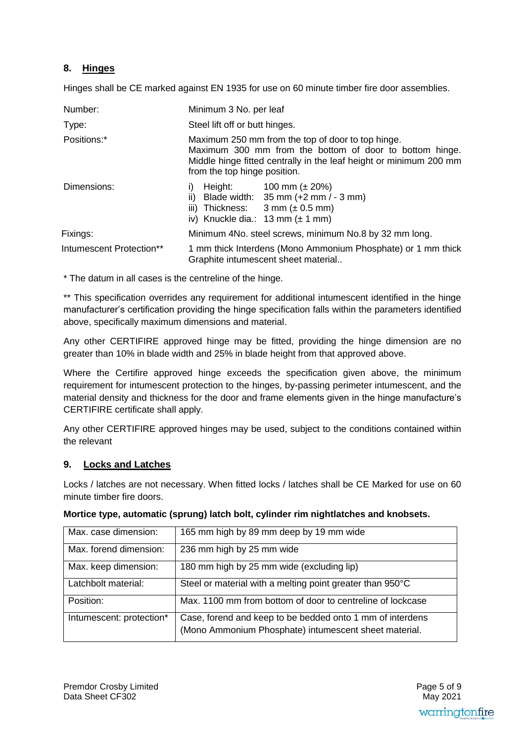# **8. Hinges**

Hinges shall be CE marked against EN 1935 for use on 60 minute timber fire door assemblies.

| Number:                  | Minimum 3 No. per leaf                                                                                                                                                                                                         |  |
|--------------------------|--------------------------------------------------------------------------------------------------------------------------------------------------------------------------------------------------------------------------------|--|
| Type:                    | Steel lift off or butt hinges.                                                                                                                                                                                                 |  |
| Positions:*              | Maximum 250 mm from the top of door to top hinge.<br>Maximum 300 mm from the bottom of door to bottom hinge.<br>Middle hinge fitted centrally in the leaf height or minimum 200 mm<br>from the top hinge position.             |  |
| Dimensions:              | Height: $100 \text{ mm } (\pm 20\%)$<br>Blade width: $35 \text{ mm } (+2 \text{ mm } / - 3 \text{ mm})$<br>ii)<br>iii) Thickness: $3 \text{ mm } (\pm 0.5 \text{ mm})$<br>iv) Knuckle dia.: $13 \text{ mm} (\pm 1 \text{ mm})$ |  |
| Fixings:                 | Minimum 4No. steel screws, minimum No.8 by 32 mm long.                                                                                                                                                                         |  |
| Intumescent Protection** | 1 mm thick Interdens (Mono Ammonium Phosphate) or 1 mm thick<br>Graphite intumescent sheet material                                                                                                                            |  |

\* The datum in all cases is the centreline of the hinge.

\*\* This specification overrides any requirement for additional intumescent identified in the hinge manufacturer's certification providing the hinge specification falls within the parameters identified above, specifically maximum dimensions and material.

Any other CERTIFIRE approved hinge may be fitted, providing the hinge dimension are no greater than 10% in blade width and 25% in blade height from that approved above.

Where the Certifire approved hinge exceeds the specification given above, the minimum requirement for intumescent protection to the hinges, by-passing perimeter intumescent, and the material density and thickness for the door and frame elements given in the hinge manufacture's CERTIFIRE certificate shall apply.

Any other CERTIFIRE approved hinges may be used, subject to the conditions contained within the relevant

# **9. Locks and Latches**

Locks / latches are not necessary. When fitted locks / latches shall be CE Marked for use on 60 minute timber fire doors.

| Max. case dimension:     | 165 mm high by 89 mm deep by 19 mm wide                                                                            |
|--------------------------|--------------------------------------------------------------------------------------------------------------------|
| Max. forend dimension:   | 236 mm high by 25 mm wide                                                                                          |
| Max. keep dimension:     | 180 mm high by 25 mm wide (excluding lip)                                                                          |
| Latchbolt material:      | Steel or material with a melting point greater than 950°C                                                          |
| Position:                | Max. 1100 mm from bottom of door to centreline of lockcase                                                         |
| Intumescent: protection* | Case, forend and keep to be bedded onto 1 mm of interdens<br>(Mono Ammonium Phosphate) intumescent sheet material. |

### **Mortice type, automatic (sprung) latch bolt, cylinder rim nightlatches and knobsets.**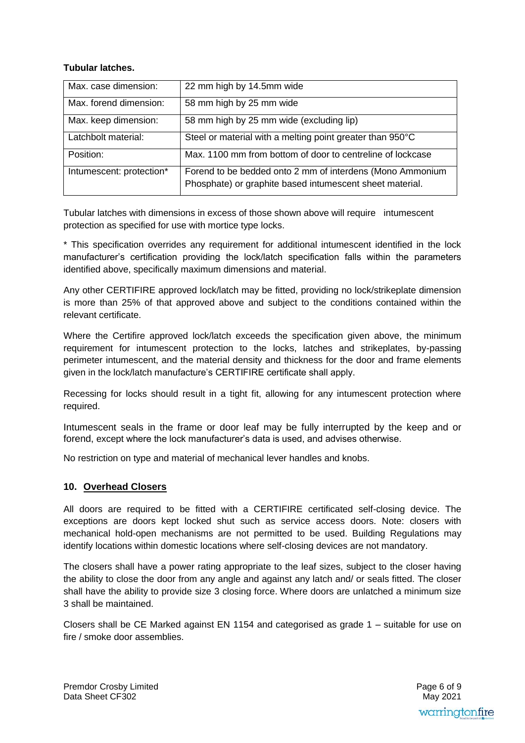# **Tubular latches.**

| Max. case dimension:     | 22 mm high by 14.5mm wide                                                                                             |
|--------------------------|-----------------------------------------------------------------------------------------------------------------------|
| Max. forend dimension:   | 58 mm high by 25 mm wide                                                                                              |
| Max. keep dimension:     | 58 mm high by 25 mm wide (excluding lip)                                                                              |
| Latchbolt material:      | Steel or material with a melting point greater than 950°C                                                             |
| Position:                | Max. 1100 mm from bottom of door to centreline of lockcase                                                            |
| Intumescent: protection* | Forend to be bedded onto 2 mm of interdens (Mono Ammonium<br>Phosphate) or graphite based intumescent sheet material. |

Tubular latches with dimensions in excess of those shown above will require intumescent protection as specified for use with mortice type locks.

\* This specification overrides any requirement for additional intumescent identified in the lock manufacturer's certification providing the lock/latch specification falls within the parameters identified above, specifically maximum dimensions and material.

Any other CERTIFIRE approved lock/latch may be fitted, providing no lock/strikeplate dimension is more than 25% of that approved above and subject to the conditions contained within the relevant certificate.

Where the Certifire approved lock/latch exceeds the specification given above, the minimum requirement for intumescent protection to the locks, latches and strikeplates, by-passing perimeter intumescent, and the material density and thickness for the door and frame elements given in the lock/latch manufacture's CERTIFIRE certificate shall apply.

Recessing for locks should result in a tight fit, allowing for any intumescent protection where required.

Intumescent seals in the frame or door leaf may be fully interrupted by the keep and or forend, except where the lock manufacturer's data is used, and advises otherwise.

No restriction on type and material of mechanical lever handles and knobs.

# **10. Overhead Closers**

All doors are required to be fitted with a CERTIFIRE certificated self-closing device. The exceptions are doors kept locked shut such as service access doors. Note: closers with mechanical hold-open mechanisms are not permitted to be used. Building Regulations may identify locations within domestic locations where self-closing devices are not mandatory.

The closers shall have a power rating appropriate to the leaf sizes, subject to the closer having the ability to close the door from any angle and against any latch and/ or seals fitted. The closer shall have the ability to provide size 3 closing force. Where doors are unlatched a minimum size 3 shall be maintained.

Closers shall be CE Marked against EN 1154 and categorised as grade 1 – suitable for use on fire / smoke door assemblies.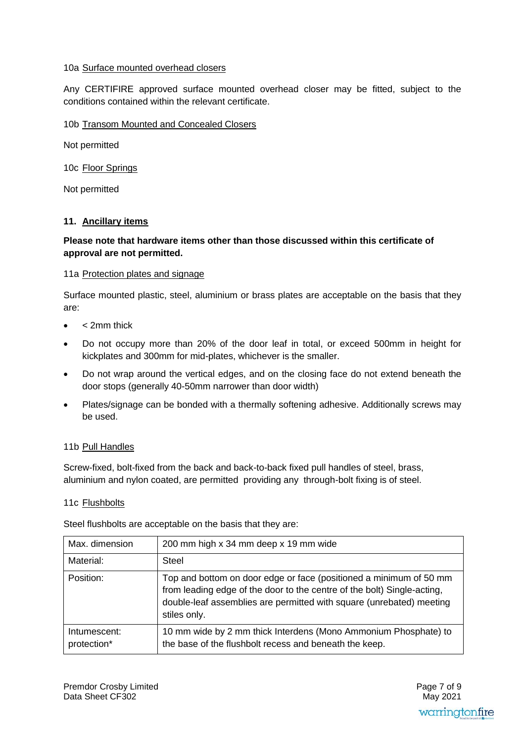# 10a Surface mounted overhead closers

Any CERTIFIRE approved surface mounted overhead closer may be fitted, subject to the conditions contained within the relevant certificate.

# 10b Transom Mounted and Concealed Closers

Not permitted

10c Floor Springs

Not permitted

# **11. Ancillary items**

# **Please note that hardware items other than those discussed within this certificate of approval are not permitted.**

# 11a Protection plates and signage

Surface mounted plastic, steel, aluminium or brass plates are acceptable on the basis that they are:

- < 2mm thick
- Do not occupy more than 20% of the door leaf in total, or exceed 500mm in height for kickplates and 300mm for mid-plates, whichever is the smaller.
- Do not wrap around the vertical edges, and on the closing face do not extend beneath the door stops (generally 40-50mm narrower than door width)
- Plates/signage can be bonded with a thermally softening adhesive. Additionally screws may be used.

### 11b Pull Handles

Screw-fixed, bolt-fixed from the back and back-to-back fixed pull handles of steel, brass, aluminium and nylon coated, are permitted providing any through-bolt fixing is of steel.

### 11c Flushbolts

Steel flushbolts are acceptable on the basis that they are:

| Max. dimension              | 200 mm high x 34 mm deep x 19 mm wide                                                                                                                                                                                                 |
|-----------------------------|---------------------------------------------------------------------------------------------------------------------------------------------------------------------------------------------------------------------------------------|
| Material:                   | Steel                                                                                                                                                                                                                                 |
| Position:                   | Top and bottom on door edge or face (positioned a minimum of 50 mm<br>from leading edge of the door to the centre of the bolt) Single-acting,<br>double-leaf assemblies are permitted with square (unrebated) meeting<br>stiles only. |
| Intumescent:<br>protection* | 10 mm wide by 2 mm thick Interdens (Mono Ammonium Phosphate) to<br>the base of the flushbolt recess and beneath the keep.                                                                                                             |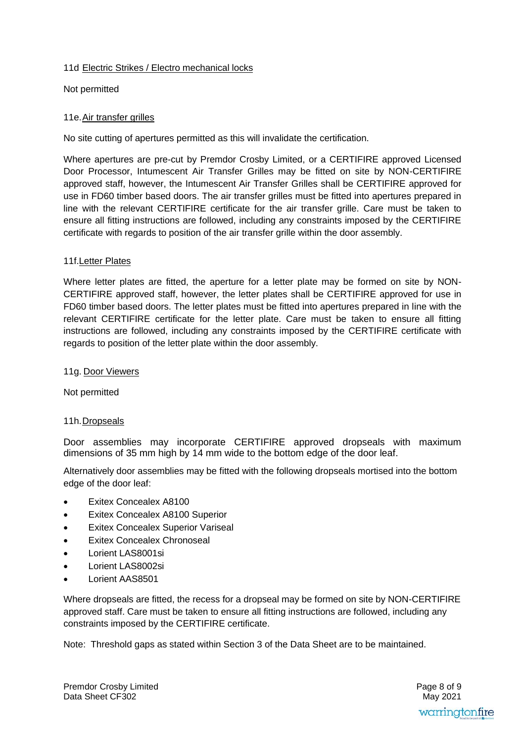# 11d Electric Strikes / Electro mechanical locks

Not permitted

# 11e. Air transfer grilles

No site cutting of apertures permitted as this will invalidate the certification.

Where apertures are pre-cut by Premdor Crosby Limited, or a CERTIFIRE approved Licensed Door Processor, Intumescent Air Transfer Grilles may be fitted on site by NON-CERTIFIRE approved staff, however, the Intumescent Air Transfer Grilles shall be CERTIFIRE approved for use in FD60 timber based doors. The air transfer grilles must be fitted into apertures prepared in line with the relevant CERTIFIRE certificate for the air transfer grille. Care must be taken to ensure all fitting instructions are followed, including any constraints imposed by the CERTIFIRE certificate with regards to position of the air transfer grille within the door assembly.

# 11f.Letter Plates

Where letter plates are fitted, the aperture for a letter plate may be formed on site by NON-CERTIFIRE approved staff, however, the letter plates shall be CERTIFIRE approved for use in FD60 timber based doors. The letter plates must be fitted into apertures prepared in line with the relevant CERTIFIRE certificate for the letter plate. Care must be taken to ensure all fitting instructions are followed, including any constraints imposed by the CERTIFIRE certificate with regards to position of the letter plate within the door assembly.

## 11g. Door Viewers

Not permitted

### 11h. Dropseals

Door assemblies may incorporate CERTIFIRE approved dropseals with maximum dimensions of 35 mm high by 14 mm wide to the bottom edge of the door leaf.

Alternatively door assemblies may be fitted with the following dropseals mortised into the bottom edge of the door leaf:

- Exitex Concealex A8100
- Exitex Concealex A8100 Superior
- Exitex Concealex Superior Variseal
- Exitex Concealex Chronoseal
- Lorient LAS8001si
- Lorient LAS8002si
- Lorient AAS8501

Where dropseals are fitted, the recess for a dropseal may be formed on site by NON-CERTIFIRE approved staff. Care must be taken to ensure all fitting instructions are followed, including any constraints imposed by the CERTIFIRE certificate.

Note: Threshold gaps as stated within Section 3 of the Data Sheet are to be maintained.